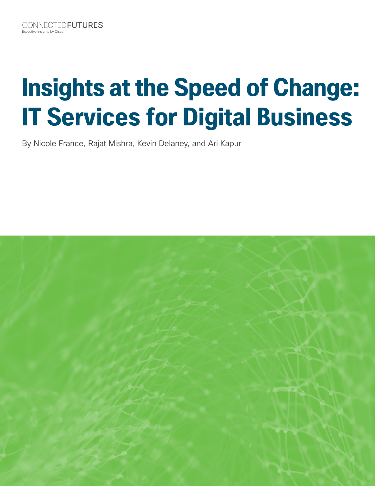# **Insights at the Speed of Change: IT Services for Digital Business**

By Nicole France, Rajat Mishra, Kevin Delaney, and Ari Kapur

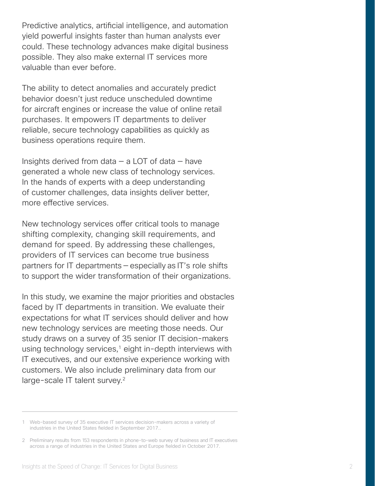Predictive analytics, artifcial intelligence, and automation yield powerful insights faster than human analysts ever could. These technology advances make digital business possible. They also make external IT services more valuable than ever before.

The ability to detect anomalies and accurately predict behavior doesn't just reduce unscheduled downtime for aircraft engines or increase the value of online retail purchases. It empowers IT departments to deliver reliable, secure technology capabilities as quickly as business operations require them.

Insights derived from data  $-$  a LOT of data  $-$  have generated a whole new class of technology services. In the hands of experts with a deep understanding of customer challenges, data insights deliver better, more efective services.

New technology services offer critical tools to manage shifting complexity, changing skill requirements, and demand for speed. By addressing these challenges, providers of IT services can become true business partners for IT departments — especially as IT's role shifts to support the wider transformation of their organizations.

In this study, we examine the major priorities and obstacles faced by IT departments in transition. We evaluate their expectations for what IT services should deliver and how new technology services are meeting those needs. Our study draws on a survey of 35 senior IT decision-makers using technology services, $1$  eight in-depth interviews with IT executives, and our extensive experience working with customers. We also include preliminary data from our large-scale IT talent survey.<sup>2</sup>

<sup>1</sup> Web-based survey of 35 executive IT services decision-makers across a variety of industries in the United States felded in September 2017..

<sup>2</sup> Preliminary results from 153 respondents in phone-to-web survey of business and IT executives across a range of industries in the United States and Europe felded in October 2017.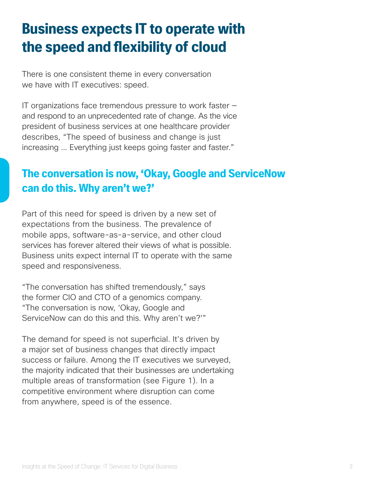### **Business expects IT to operate with the speed and fexibility of cloud**

There is one consistent theme in every conversation we have with IT executives: speed.

IT organizations face tremendous pressure to work faster and respond to an unprecedented rate of change. As the vice president of business services at one healthcare provider describes, "The speed of business and change is just increasing … Everything just keeps going faster and faster."

### **The conversation is now, 'Okay, Google and ServiceNow can do this. Why aren't we?'**

Part of this need for speed is driven by a new set of expectations from the business. The prevalence of mobile apps, software-as-a-service, and other cloud services has forever altered their views of what is possible. Business units expect internal IT to operate with the same speed and responsiveness.

"The conversation has shifted tremendously," says the former CIO and CTO of a genomics company. "The conversation is now, 'Okay, Google and ServiceNow can do this and this. Why aren't we?'"

The demand for speed is not superficial. It's driven by a major set of business changes that directly impact success or failure. Among the IT executives we surveyed, the majority indicated that their businesses are undertaking multiple areas of transformation (see Figure 1). In a competitive environment where disruption can come from anywhere, speed is of the essence.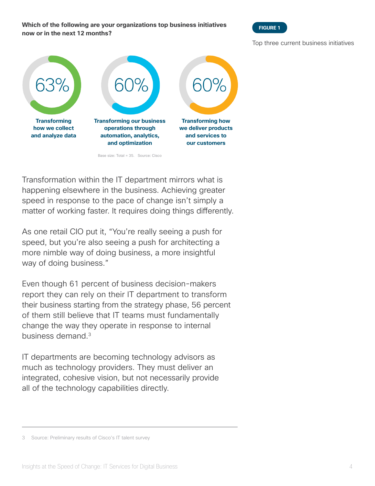**Which of the following are your organizations top business initiatives now or in the next 12 months?**



Top three current business initiatives



Transformation within the IT department mirrors what is happening elsewhere in the business. Achieving greater speed in response to the pace of change isn't simply a matter of working faster. It requires doing things diferently.

As one retail CIO put it, "You're really seeing a push for speed, but you're also seeing a push for architecting a more nimble way of doing business, a more insightful way of doing business."

Even though 61 percent of business decision-makers report they can rely on their IT department to transform their business starting from the strategy phase, 56 percent of them still believe that IT teams must fundamentally change the way they operate in response to internal business demand.<sup>3</sup>

IT departments are becoming technology advisors as much as technology providers. They must deliver an integrated, cohesive vision, but not necessarily provide all of the technology capabilities directly.

<sup>3</sup> Source: Preliminary results of Cisco's IT talent survey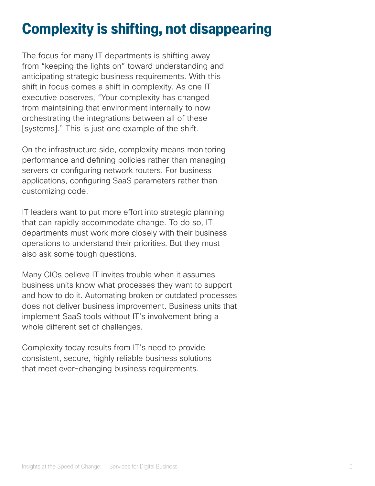### **Complexity is shifting, not disappearing**

The focus for many IT departments is shifting away from "keeping the lights on" toward understanding and anticipating strategic business requirements. With this shift in focus comes a shift in complexity. As one IT executive observes, "Your complexity has changed from maintaining that environment internally to now orchestrating the integrations between all of these [systems]." This is just one example of the shift.

On the infrastructure side, complexity means monitoring performance and defning policies rather than managing servers or configuring network routers. For business applications, confguring SaaS parameters rather than customizing code.

IT leaders want to put more effort into strategic planning that can rapidly accommodate change. To do so, IT departments must work more closely with their business operations to understand their priorities. But they must also ask some tough questions.

Many CIOs believe IT invites trouble when it assumes business units know what processes they want to support and how to do it. Automating broken or outdated processes does not deliver business improvement. Business units that implement SaaS tools without IT's involvement bring a whole diferent set of challenges.

Complexity today results from IT's need to provide consistent, secure, highly reliable business solutions that meet ever-changing business requirements.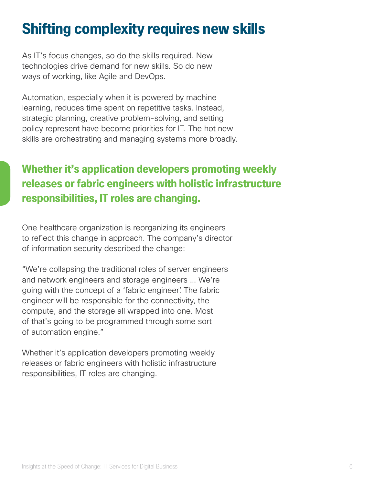### **Shifting complexity requires new skills**

As IT's focus changes, so do the skills required. New technologies drive demand for new skills. So do new ways of working, like Agile and DevOps.

Automation, especially when it is powered by machine learning, reduces time spent on repetitive tasks. Instead, strategic planning, creative problem-solving, and setting policy represent have become priorities for IT. The hot new skills are orchestrating and managing systems more broadly.

### **Whether it's application developers promoting weekly releases or fabric engineers with holistic infrastructure responsibilities, IT roles are changing.**

One healthcare organization is reorganizing its engineers to refect this change in approach. The company's director of information security described the change:

"We're collapsing the traditional roles of server engineers and network engineers and storage engineers … We're going with the concept of a 'fabric engineer'. The fabric engineer will be responsible for the connectivity, the compute, and the storage all wrapped into one. Most of that's going to be programmed through some sort of automation engine."

Whether it's application developers promoting weekly releases or fabric engineers with holistic infrastructure responsibilities, IT roles are changing.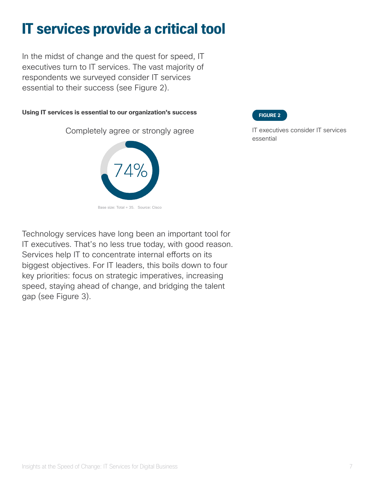### **IT services provide a critical tool**

In the midst of change and the quest for speed, IT executives turn to IT services. The vast majority of respondents we surveyed consider IT services essential to their success (see Figure 2).

#### **Using IT services is essential to our organization's success**

Completely agree or strongly agree



**FIGURE 2**

IT executives consider IT services essential

Technology services have long been an important tool for IT executives. That's no less true today, with good reason. Services help IT to concentrate internal efforts on its biggest objectives. For IT leaders, this boils down to four key priorities: focus on strategic imperatives, increasing speed, staying ahead of change, and bridging the talent gap (see Figure 3).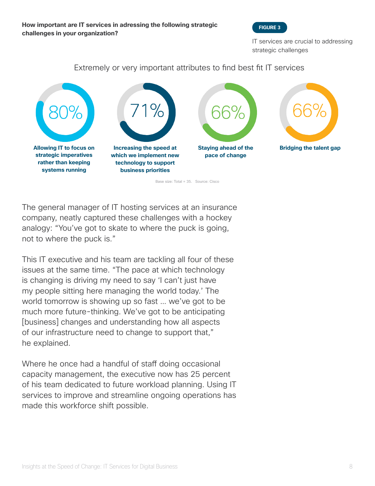

IT services are crucial to addressing strategic challenges

#### Extremely or very important attributes to fnd best ft IT services



Base size: Total = 35. Source: Cisco

The general manager of IT hosting services at an insurance company, neatly captured these challenges with a hockey analogy: "You've got to skate to where the puck is going, not to where the puck is."

This IT executive and his team are tackling all four of these issues at the same time. "The pace at which technology is changing is driving my need to say 'I can't just have my people sitting here managing the world today.' The world tomorrow is showing up so fast … we've got to be much more future-thinking. We've got to be anticipating [business] changes and understanding how all aspects of our infrastructure need to change to support that," he explained.

Where he once had a handful of staff doing occasional capacity management, the executive now has 25 percent of his team dedicated to future workload planning. Using IT services to improve and streamline ongoing operations has made this workforce shift possible.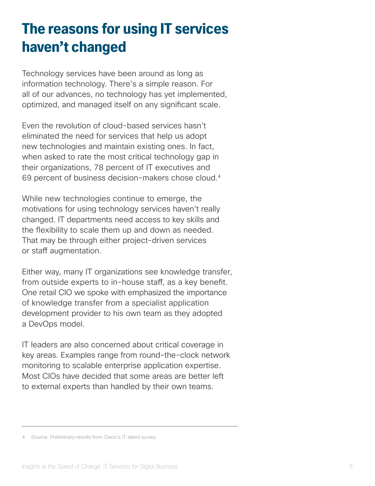### **The reasons for using IT services haven't changed**

Technology services have been around as long as information technology. There's a simple reason. For all of our advances, no technology has yet implemented, optimized, and managed itself on any signifcant scale.

Even the revolution of cloud-based services hasn't eliminated the need for services that help us adopt new technologies and maintain existing ones. In fact, when asked to rate the most critical technology gap in their organizations, 78 percent of IT executives and 69 percent of business decision-makers chose cloud.<sup>4</sup>

While new technologies continue to emerge, the motivations for using technology services haven't really changed. IT departments need access to key skills and the fexibility to scale them up and down as needed. That may be through either project-driven services or staff augmentation.

Either way, many IT organizations see knowledge transfer, from outside experts to in-house staf, as a key beneft. One retail CIO we spoke with emphasized the importance of knowledge transfer from a specialist application development provider to his own team as they adopted a DevOps model.

IT leaders are also concerned about critical coverage in key areas. Examples range from round-the-clock network monitoring to scalable enterprise application expertise. Most CIOs have decided that some areas are better left to external experts than handled by their own teams.

<sup>4</sup> Source: Preliminary results from Cisco's IT talent survey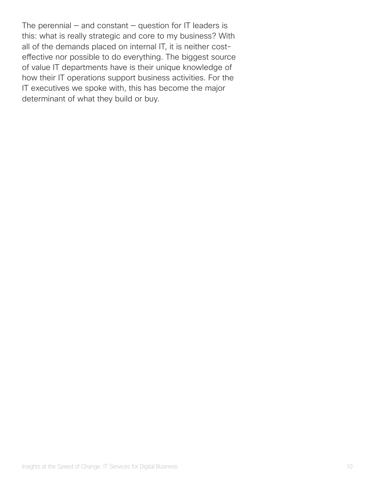The perennial  $-$  and constant  $-$  question for IT leaders is this: what is really strategic and core to my business? With all of the demands placed on internal IT, it is neither costefective nor possible to do everything. The biggest source of value IT departments have is their unique knowledge of how their IT operations support business activities. For the IT executives we spoke with, this has become the major determinant of what they build or buy.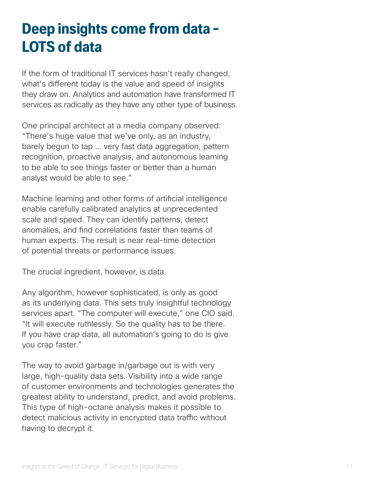### **Deep insights come from data – LOTS of data**

If the form of traditional IT services hasn't really changed, what's diferent today is the value and speed of insights they draw on. Analytics and automation have transformed IT services as radically as they have any other type of business.

One principal architect at a media company observed: "There's huge value that we've only, as an industry, barely begun to tap … very fast data aggregation, pattern recognition, proactive analysis, and autonomous learning to be able to see things faster or better than a human analyst would be able to see."

Machine learning and other forms of artifcial intelligence enable carefully calibrated analytics at unprecedented scale and speed. They can identify patterns, detect anomalies, and fnd correlations faster than teams of human experts. The result is near real-time detection of potential threats or performance issues.

The crucial ingredient, however, is data.

Any algorithm, however sophisticated, is only as good as its underlying data. This sets truly insightful technology services apart. "The computer will execute," one CIO said. "It will execute ruthlessly. So the quality has to be there. If you have crap data, all automation's going to do is give you crap faster."

The way to avoid garbage in/garbage out is with very large, high-quality data sets. Visibility into a wide range of customer environments and technologies generates the greatest ability to understand, predict, and avoid problems. This type of high-octane analysis makes it possible to detect malicious activity in encrypted data traffic without having to decrypt it.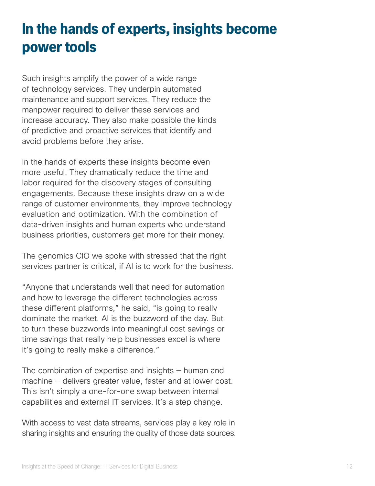### **In the hands of experts, insights become power tools**

Such insights amplify the power of a wide range of technology services. They underpin automated maintenance and support services. They reduce the manpower required to deliver these services and increase accuracy. They also make possible the kinds of predictive and proactive services that identify and avoid problems before they arise.

In the hands of experts these insights become even more useful. They dramatically reduce the time and labor required for the discovery stages of consulting engagements. Because these insights draw on a wide range of customer environments, they improve technology evaluation and optimization. With the combination of data-driven insights and human experts who understand business priorities, customers get more for their money.

The genomics CIO we spoke with stressed that the right services partner is critical, if AI is to work for the business.

"Anyone that understands well that need for automation and how to leverage the diferent technologies across these diferent platforms," he said, "is going to really dominate the market. AI is the buzzword of the day. But to turn these buzzwords into meaningful cost savings or time savings that really help businesses excel is where it's going to really make a diference."

The combination of expertise and insights — human and machine — delivers greater value, faster and at lower cost. This isn't simply a one-for-one swap between internal capabilities and external IT services. It's a step change.

With access to vast data streams, services play a key role in sharing insights and ensuring the quality of those data sources.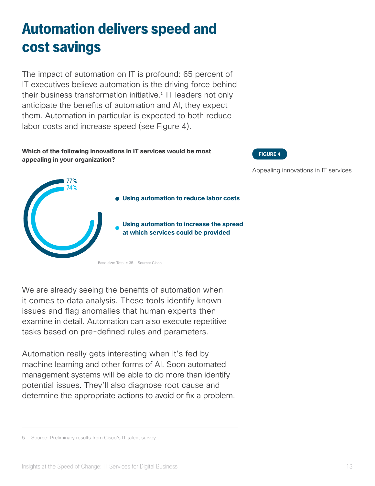### **Automation delivers speed and cost savings**

The impact of automation on IT is profound: 65 percent of IT executives believe automation is the driving force behind their business transformation initiative.<sup>5</sup> IT leaders not only anticipate the benefts of automation and AI, they expect them. Automation in particular is expected to both reduce labor costs and increase speed (see Figure 4).

**Using automation to reduce labor costs**

**Using automation to increase the spread at which services could be provided**

#### **Which of the following innovations in IT services would be most appealing in your organization?**

77% **A%** 

**FIGURE 4**

Appealing innovations in IT services

We are already seeing the benefits of automation when it comes to data analysis. These tools identify known issues and flag anomalies that human experts then examine in detail. Automation can also execute repetitive tasks based on pre-defined rules and parameters.

Base size: Total = 35. Source: Cisco

Automation really gets interesting when it's fed by machine learning and other forms of AI. Soon automated management systems will be able to do more than identify potential issues. They'll also diagnose root cause and determine the appropriate actions to avoid or fx a problem.

5 Source: Preliminary results from Cisco's IT talent survey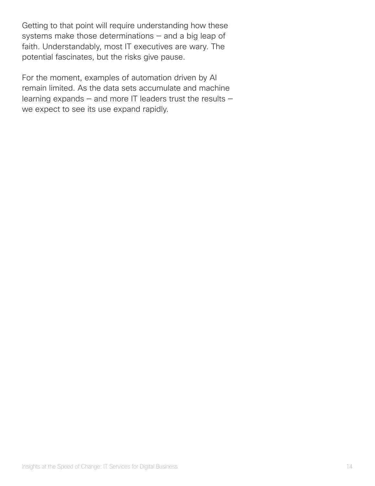Getting to that point will require understanding how these systems make those determinations — and a big leap of faith. Understandably, most IT executives are wary. The potential fascinates, but the risks give pause.

For the moment, examples of automation driven by AI remain limited. As the data sets accumulate and machine learning expands — and more IT leaders trust the results we expect to see its use expand rapidly.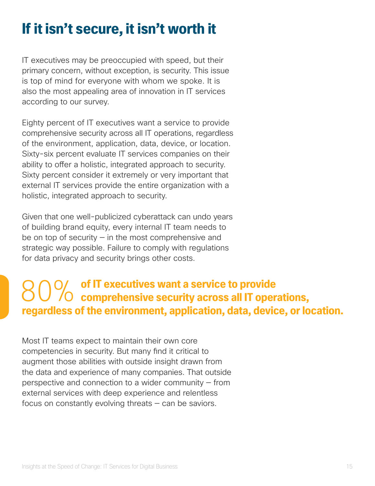### **If it isn't secure, it isn't worth it**

IT executives may be preoccupied with speed, but their primary concern, without exception, is security. This issue is top of mind for everyone with whom we spoke. It is also the most appealing area of innovation in IT services according to our survey.

Eighty percent of IT executives want a service to provide comprehensive security across all IT operations, regardless of the environment, application, data, device, or location. Sixty-six percent evaluate IT services companies on their ability to offer a holistic, integrated approach to security. Sixty percent consider it extremely or very important that external IT services provide the entire organization with a holistic, integrated approach to security.

Given that one well-publicized cyberattack can undo years of building brand equity, every internal IT team needs to be on top of security  $-$  in the most comprehensive and strategic way possible. Failure to comply with regulations for data privacy and security brings other costs.

## 80% of IT executives want a service to provide<br> **comprehensive security across all IT operations, regardless of the environment, application, data, device, or location.**

Most IT teams expect to maintain their own core competencies in security. But many fnd it critical to augment those abilities with outside insight drawn from the data and experience of many companies. That outside perspective and connection to a wider community — from external services with deep experience and relentless focus on constantly evolving threats — can be saviors.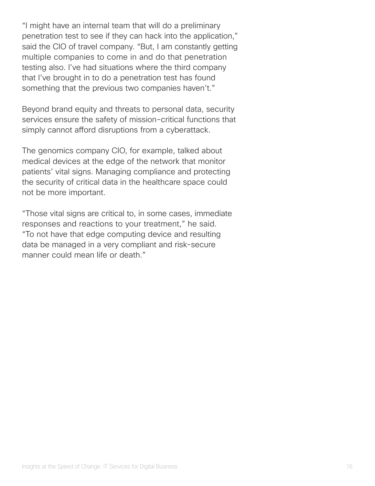"I might have an internal team that will do a preliminary penetration test to see if they can hack into the application," said the CIO of travel company. "But, I am constantly getting multiple companies to come in and do that penetration testing also. I've had situations where the third company that I've brought in to do a penetration test has found something that the previous two companies haven't."

Beyond brand equity and threats to personal data, security services ensure the safety of mission-critical functions that simply cannot afford disruptions from a cyberattack.

The genomics company CIO, for example, talked about medical devices at the edge of the network that monitor patients' vital signs. Managing compliance and protecting the security of critical data in the healthcare space could not be more important.

"Those vital signs are critical to, in some cases, immediate responses and reactions to your treatment," he said. "To not have that edge computing device and resulting data be managed in a very compliant and risk-secure manner could mean life or death."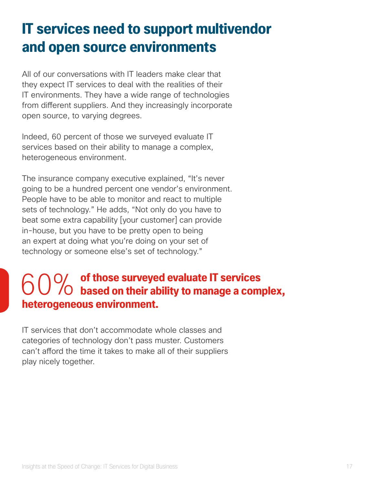### **IT services need to support multivendor and open source environments**

All of our conversations with IT leaders make clear that they expect IT services to deal with the realities of their IT environments. They have a wide range of technologies from diferent suppliers. And they increasingly incorporate open source, to varying degrees.

Indeed, 60 percent of those we surveyed evaluate IT services based on their ability to manage a complex, heterogeneous environment.

The insurance company executive explained, "It's never going to be a hundred percent one vendor's environment. People have to be able to monitor and react to multiple sets of technology." He adds, "Not only do you have to beat some extra capability [your customer] can provide in-house, but you have to be pretty open to being an expert at doing what you're doing on your set of technology or someone else's set of technology."

# 60% of those surveyed evaluate IT services<br> **batem was an analyzement heterogeneous environment.**

IT services that don't accommodate whole classes and categories of technology don't pass muster. Customers can't afford the time it takes to make all of their suppliers play nicely together.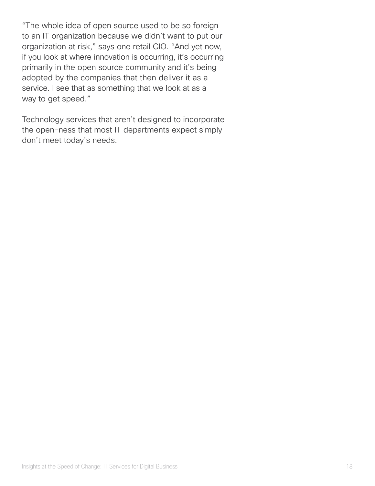"The whole idea of open source used to be so foreign to an IT organization because we didn't want to put our organization at risk," says one retail CIO. "And yet now, if you look at where innovation is occurring, it's occurring primarily in the open source community and it's being adopted by the companies that then deliver it as a service. I see that as something that we look at as a way to get speed."

Technology services that aren't designed to incorporate the open-ness that most IT departments expect simply don't meet today's needs.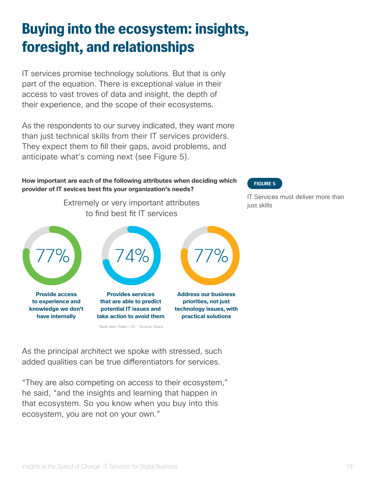### **Buying into the ecosystem: insights, foresight, and relationships**

IT services promise technology solutions. But that is only part of the equation. There is exceptional value in their access to vast troves of data and insight, the depth of their experience, and the scope of their ecosystems.

As the respondents to our survey indicated, they want more than just technical skills from their IT services providers. They expect them to fll their gaps, avoid problems, and anticipate what's coming next (see Figure 5).

#### **How important are each of the following attributes when deciding which provider of IT sevices best fts your organization's needs?**

Extremely or very important attributes in the solust skills to fnd best ft IT services



**have internally**



**that are able to predict potential IT issues and take action to avoid them**

Base size: Total = 35. Source: Cisco



**practical solutions**

#### **FIGURE 5**

IT Services must deliver more than

As the principal architect we spoke with stressed, such added qualities can be true diferentiators for services.

"They are also competing on access to their ecosystem," he said, "and the insights and learning that happen in that ecosystem. So you know when you buy into this ecosystem, you are not on your own."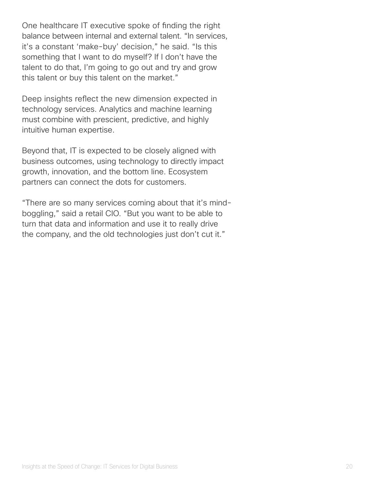One healthcare IT executive spoke of fnding the right balance between internal and external talent. "In services, it's a constant 'make-buy' decision," he said. "Is this something that I want to do myself? If I don't have the talent to do that, I'm going to go out and try and grow this talent or buy this talent on the market."

Deep insights refect the new dimension expected in technology services. Analytics and machine learning must combine with prescient, predictive, and highly intuitive human expertise.

Beyond that, IT is expected to be closely aligned with business outcomes, using technology to directly impact growth, innovation, and the bottom line. Ecosystem partners can connect the dots for customers.

"There are so many services coming about that it's mindboggling," said a retail CIO. "But you want to be able to turn that data and information and use it to really drive the company, and the old technologies just don't cut it."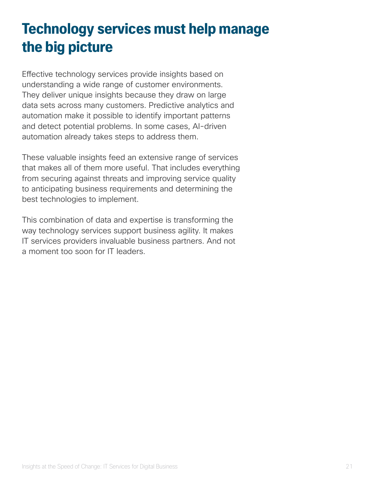### **Technology services must help manage the big picture**

Efective technology services provide insights based on understanding a wide range of customer environments. They deliver unique insights because they draw on large data sets across many customers. Predictive analytics and automation make it possible to identify important patterns and detect potential problems. In some cases, AI-driven automation already takes steps to address them.

These valuable insights feed an extensive range of services that makes all of them more useful. That includes everything from securing against threats and improving service quality to anticipating business requirements and determining the best technologies to implement.

This combination of data and expertise is transforming the way technology services support business agility. It makes IT services providers invaluable business partners. And not a moment too soon for IT leaders.